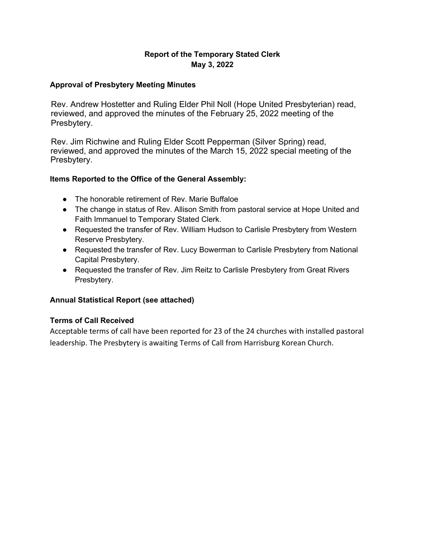## **Report of the Temporary Stated Clerk May 3, 2022**

#### **Approval of Presbytery Meeting Minutes**

Rev. Andrew Hostetter and Ruling Elder Phil Noll (Hope United Presbyterian) read, reviewed, and approved the minutes of the February 25, 2022 meeting of the Presbytery.

Rev. Jim Richwine and Ruling Elder Scott Pepperman (Silver Spring) read, reviewed, and approved the minutes of the March 15, 2022 special meeting of the Presbytery.

### **Items Reported to the Office of the General Assembly:**

- The honorable retirement of Rev. Marie Buffaloe
- The change in status of Rev. Allison Smith from pastoral service at Hope United and Faith Immanuel to Temporary Stated Clerk.
- Requested the transfer of Rev. William Hudson to Carlisle Presbytery from Western Reserve Presbytery.
- Requested the transfer of Rev. Lucy Bowerman to Carlisle Presbytery from National Capital Presbytery.
- Requested the transfer of Rev. Jim Reitz to Carlisle Presbytery from Great Rivers Presbytery.

## **Annual Statistical Report (see attached)**

#### **Terms of Call Received**

Acceptable terms of call have been reported for 23 of the 24 churches with installed pastoral leadership. The Presbytery is awaiting Terms of Call from Harrisburg Korean Church.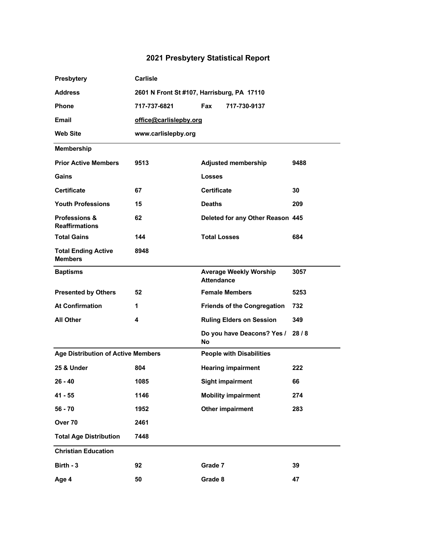# **2021 Presbytery Statistical Report**

| Presbytery                                        | <b>Carlisle</b>                            |                                                    |      |  |
|---------------------------------------------------|--------------------------------------------|----------------------------------------------------|------|--|
| <b>Address</b>                                    | 2601 N Front St #107, Harrisburg, PA 17110 |                                                    |      |  |
| <b>Phone</b>                                      | 717-737-6821                               | Fax<br>717-730-9137                                |      |  |
| Email                                             | office@carlislepby.org                     |                                                    |      |  |
| <b>Web Site</b>                                   | www.carlislepby.org                        |                                                    |      |  |
| <b>Membership</b>                                 |                                            |                                                    |      |  |
| <b>Prior Active Members</b>                       | 9513                                       | <b>Adjusted membership</b>                         | 9488 |  |
| Gains                                             |                                            | <b>Losses</b>                                      |      |  |
| <b>Certificate</b>                                | 67                                         | <b>Certificate</b>                                 | 30   |  |
| <b>Youth Professions</b>                          | 15                                         | <b>Deaths</b>                                      | 209  |  |
| <b>Professions &amp;</b><br><b>Reaffirmations</b> | 62                                         | Deleted for any Other Reason 445                   |      |  |
| <b>Total Gains</b>                                | 144                                        | <b>Total Losses</b>                                | 684  |  |
| <b>Total Ending Active</b><br><b>Members</b>      | 8948                                       |                                                    |      |  |
| <b>Baptisms</b>                                   |                                            | <b>Average Weekly Worship</b><br><b>Attendance</b> | 3057 |  |
| <b>Presented by Others</b>                        | 52                                         | <b>Female Members</b>                              | 5253 |  |
| <b>At Confirmation</b>                            | 1                                          | <b>Friends of the Congregation</b>                 | 732  |  |
| All Other                                         | 4                                          | <b>Ruling Elders on Session</b>                    | 349  |  |
|                                                   |                                            | Do you have Deacons? Yes /<br><b>No</b>            | 28/8 |  |
| <b>Age Distribution of Active Members</b>         |                                            | <b>People with Disabilities</b>                    |      |  |
| 25 & Under                                        | 804                                        | <b>Hearing impairment</b>                          | 222  |  |
| $26 - 40$                                         | 1085                                       | <b>Sight impairment</b>                            | 66   |  |
| $41 - 55$                                         | 1146                                       | <b>Mobility impairment</b>                         | 274  |  |
| $56 - 70$                                         | 1952                                       | <b>Other impairment</b>                            | 283  |  |
| Over <sub>70</sub>                                | 2461                                       |                                                    |      |  |
| <b>Total Age Distribution</b>                     | 7448                                       |                                                    |      |  |
| <b>Christian Education</b>                        |                                            |                                                    |      |  |
| Birth - 3                                         | 92                                         | Grade 7                                            | 39   |  |
| Age 4                                             | 50                                         | Grade 8                                            | 47   |  |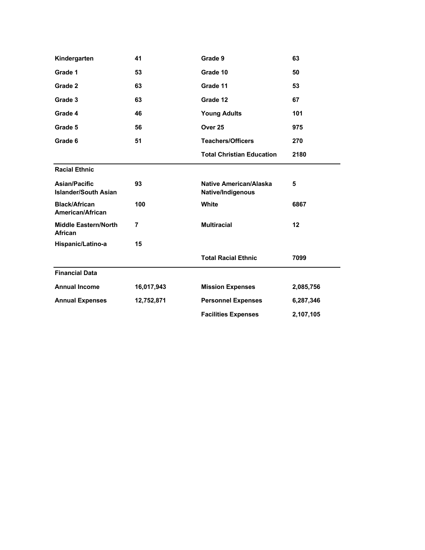| Kindergarten                                        | 41             | Grade 9                                     | 63        |
|-----------------------------------------------------|----------------|---------------------------------------------|-----------|
| Grade 1                                             | 53             | Grade 10                                    | 50        |
| Grade 2                                             | 63             | Grade 11                                    | 53        |
| Grade 3                                             | 63             | Grade 12                                    | 67        |
| Grade 4                                             | 46             | <b>Young Adults</b>                         | 101       |
| Grade 5                                             | 56             | Over <sub>25</sub>                          | 975       |
| Grade 6                                             | 51             | <b>Teachers/Officers</b>                    | 270       |
|                                                     |                | <b>Total Christian Education</b>            | 2180      |
| <b>Racial Ethnic</b>                                |                |                                             |           |
| <b>Asian/Pacific</b><br><b>Islander/South Asian</b> | 93             | Native American/Alaska<br>Native/Indigenous | 5         |
| <b>Black/African</b><br>American/African            | 100            | White                                       | 6867      |
| <b>Middle Eastern/North</b><br><b>African</b>       | $\overline{7}$ | <b>Multiracial</b>                          | 12        |
| Hispanic/Latino-a                                   | 15             |                                             |           |
|                                                     |                | <b>Total Racial Ethnic</b>                  | 7099      |
| <b>Financial Data</b>                               |                |                                             |           |
| <b>Annual Income</b>                                | 16,017,943     | <b>Mission Expenses</b>                     | 2,085,756 |
| <b>Annual Expenses</b>                              | 12,752,871     | <b>Personnel Expenses</b>                   | 6,287,346 |
|                                                     |                | <b>Facilities Expenses</b>                  | 2,107,105 |